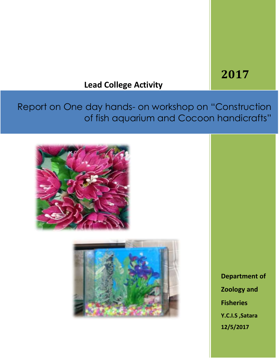**2017**

# **Lead College Activity**

Report on One day hands- on workshop on "Construction of fish aquarium and Cocoon handicrafts"





**Department of Zoology and Fisheries Y.C.I.S ,Satara 12/5/2017**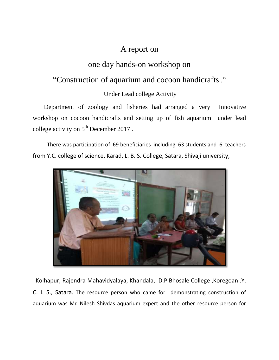## A report on

## one day hands-on workshop on

## "Construction of aquarium and cocoon handicrafts ."

#### Under Lead college Activity

 Department of zoology and fisheries had arranged a very Innovative workshop on cocoon handicrafts and setting up of fish aquarium under lead college activity on  $5^{th}$  December 2017.

 There was participation of 69 beneficiaries including 63 students and 6 teachers from Y.C. college of science, Karad, L. B. S. College, Satara, Shivaji university,



 Kolhapur, Rajendra Mahavidyalaya, Khandala, D.P Bhosale College ,Koregoan .Y. C. I. S., Satara. The resource person who came for demonstrating construction of aquarium was Mr. Nilesh Shivdas aquarium expert and the other resource person for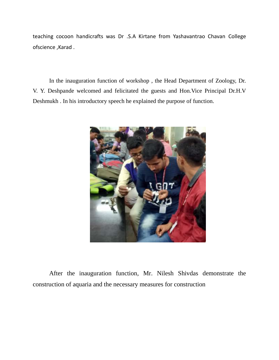teaching cocoon handicrafts was Dr .S.A Kirtane from Yashavantrao Chavan College ofscience ,Karad .

In the inauguration function of workshop , the Head Department of Zoology, Dr. V. Y. Deshpande welcomed and felicitated the guests and Hon.Vice Principal Dr.H.V Deshmukh . In his introductory speech he explained the purpose of function.



After the inauguration function, Mr. Nilesh Shivdas demonstrate the construction of aquaria and the necessary measures for construction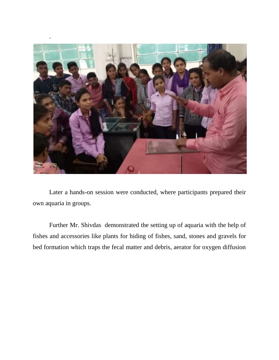

Later a hands-on session were conducted, where participants prepared their own aquaria in groups.

Further Mr. Shivdas demonstrated the setting up of aquaria with the help of fishes and accessories like plants for hiding of fishes, sand, stones and gravels for bed formation which traps the fecal matter and debris, aerator for oxygen diffusion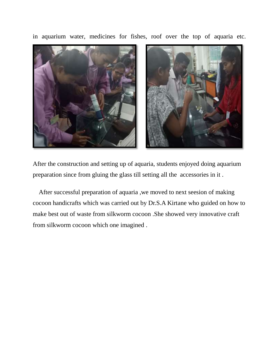in aquarium water, medicines for fishes, roof over the top of aquaria etc.



After the construction and setting up of aquaria, students enjoyed doing aquarium preparation since from gluing the glass till setting all the accessories in it .

 After successful preparation of aquaria ,we moved to next seesion of making cocoon handicrafts which was carried out by Dr.S.A Kirtane who guided on how to make best out of waste from silkworm cocoon .She showed very innovative craft from silkworm cocoon which one imagined .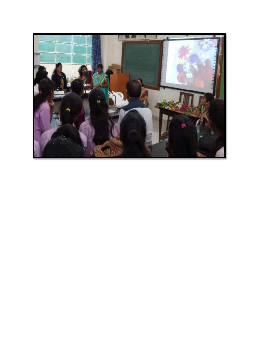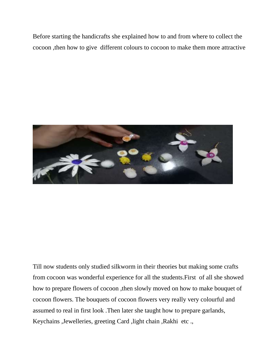Before starting the handicrafts she explained how to and from where to collect the cocoon ,then how to give different colours to cocoon to make them more attractive



Till now students only studied silkworm in their theories but making some crafts from cocoon was wonderful experience for all the students.First of all she showed how to prepare flowers of cocoon ,then slowly moved on how to make bouquet of cocoon flowers. The bouquets of cocoon flowers very really very colourful and assumed to real in first look .Then later she taught how to prepare garlands, Keychains ,Jewelleries, greeting Card ,light chain ,Rakhi etc .,